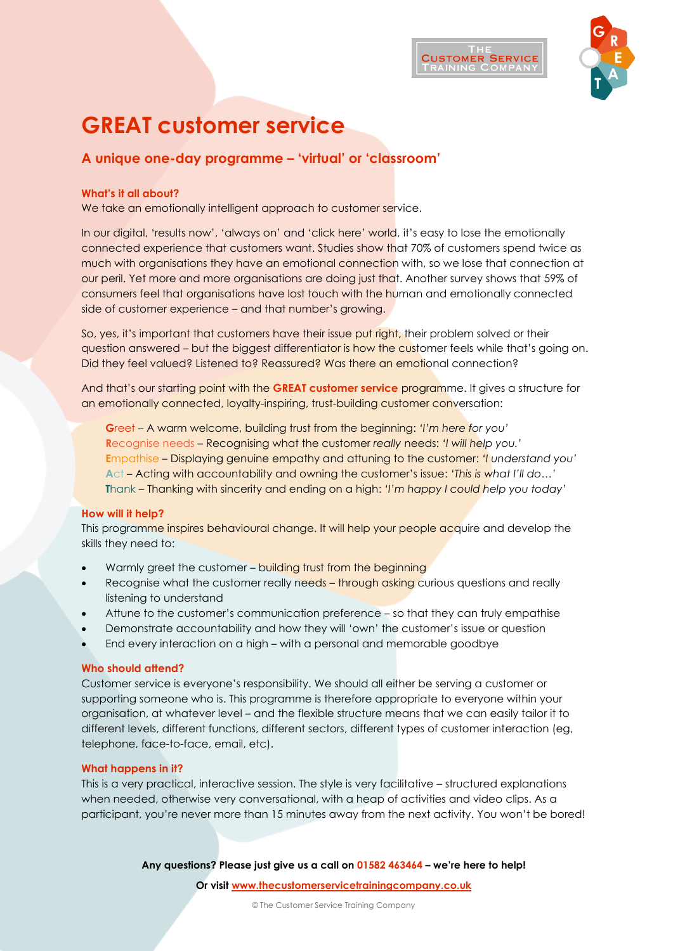

# **GREAT customer service**

# **A unique one-day programme – 'virtual' or 'classroom'**

# **What's it all about?**

We take an emotionally intelligent approach to customer service.

In our digital, 'results now', 'always on' and 'click here' world, it's easy to lose the emotionally connected experience that customers want. Studies show that 70% of customers spend twice as much with organisations they have an emotional connection with, so we lose that connection at our peril. Yet more and more organisations are doing just that. Another survey shows that 59% of consumers feel that organisations have lost touch with the human and emotionally connected side of customer experience – and that number's growing.

So, yes, it's important that customers have their issue put right, their problem solved or their question answered – but the biggest differentiator is how the customer feels while that's going on. Did they feel valued? Listened to? Reassured? Was there an emotional connection?

And that's our starting point with the **GREAT customer service** programme. It gives a structure for an emotionally connected, loyalty-inspiring, trust-building customer conversation:

**G**reet – A warm welcome, building trust from the beginning: *'I'm here for you'* **R**ecognise needs – Recognising what the customer *really* needs: *'I will help you.'* **E**mpathise – Displaying genuine empathy and attuning to the customer: *'I understand you'* **A**ct – Acting with accountability and owning the customer's issue: *'This is what I'll do…'* **T**hank – Thanking with sincerity and ending on a high: *'I'm happy I could help you today'*

# **How will it help?**

This programme inspires behavioural change. It will help your people acquire and develop the skills they need to:

- Warmly greet the customer building trust from the beginning
- Recognise what the customer really needs through asking curious questions and really listening to understand
- Attune to the customer's communication preference so that they can truly empathise
- Demonstrate accountability and how they will 'own' the customer's issue or question
- End every interaction on a high with a personal and memorable goodbye

# **Who should attend?**

Customer service is everyone's responsibility. We should all either be serving a customer or supporting someone who is. This programme is therefore appropriate to everyone within your organisation, at whatever level – and the flexible structure means that we can easily tailor it to different levels, different functions, different sectors, different types of customer interaction (eg, telephone, face-to-face, email, etc).

# **What happens in it?**

This is a very practical, interactive session. The style is very facilitative – structured explanations when needed, otherwise very conversational, with a heap of activities and video clips. As a participant, you're never more than 15 minutes away from the next activity. You won't be bored!

**Any questions? Please just give us a call on 01582 463464 – we're here to help!**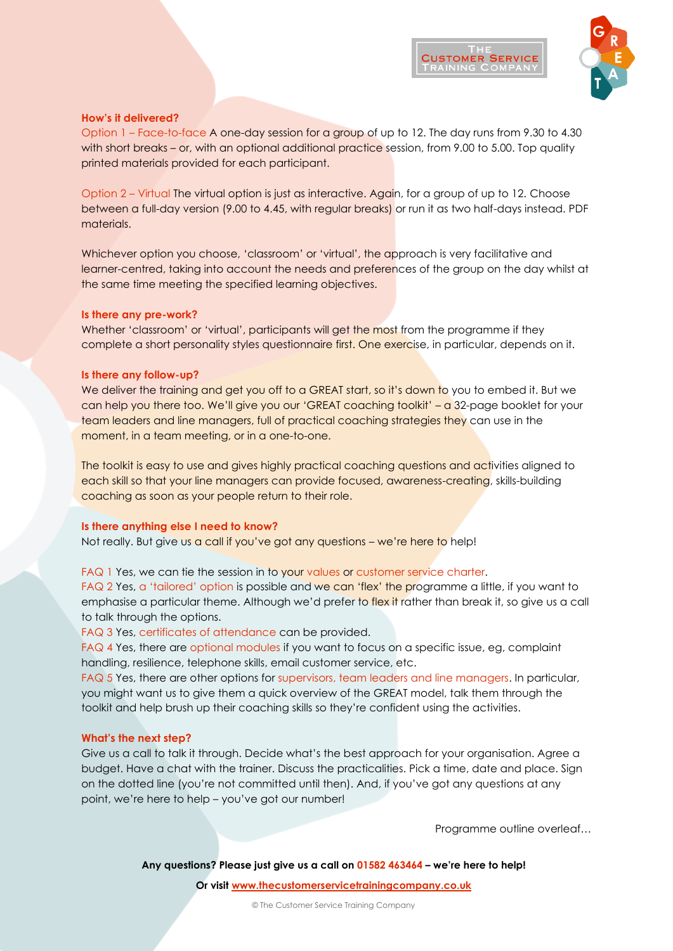



#### **How's it delivered?**

Option 1 – Face-to-face A one-day session for a group of up to 12. The day runs from 9.30 to 4.30 with short breaks – or, with an optional additional practice session, from 9.00 to 5.00. Top quality printed materials provided for each participant.

Option 2 – Virtual The virtual option is just as interactive. Again, for a group of up to 12. Choose between a full-day version (9.00 to 4.45, with regular breaks) or run it as two half-days instead. PDF materials.

Whichever option you choose, 'classroom' or 'virtual', the approach is very facilitative and learner-centred, taking into account the needs and preferences of the group on the day whilst at the same time meeting the specified learning objectives.

#### **Is there any pre-work?**

Whether 'classroom' or 'virtual', participants will get the most from the programme if they complete a short personality styles questionnaire first. One exercise, in particular, depends on it.

#### **Is there any follow-up?**

We deliver the training and get you off to a GREAT start, so it's down to you to embed it. But we can help you there too. We'll give you our 'GREAT coaching toolkit' – a 32-page booklet for your team leaders and line managers, full of practical coaching strategies they can use in the moment, in a team meeting, or in a one-to-one.

The toolkit is easy to use and gives highly practical coaching questions and activities aligned to each skill so that your line managers can provide focused, awareness-creating, skills-building coaching as soon as your people return to their role.

#### **Is there anything else I need to know?**

Not really. But give us a call if you've got any questions – we're here to help!

#### FAQ 1 Yes, we can tie the session in to your values or customer service charter.

FAQ 2 Yes, a 'tailored' option is possible and we can 'flex' the programme a little, if you want to emphasise a particular theme. Although we'd prefer to flex it rather than break it, so give us a call to talk through the options.

FAQ 3 Yes, certificates of attendance can be provided.

FAQ 4 Yes, there are optional modules if you want to focus on a specific issue, eg, complaint handling, resilience, telephone skills, email customer service, etc.

FAQ 5 Yes, there are other options for supervisors, team leaders and line managers. In particular, you might want us to give them a quick overview of the GREAT model, talk them through the toolkit and help brush up their coaching skills so they're confident using the activities.

#### **What's the next step?**

Give us a call to talk it through. Decide what's the best approach for your organisation. Agree a budget. Have a chat with the trainer. Discuss the practicalities. Pick a time, date and place. Sign on the dotted line (you're not committed until then). And, if you've got any questions at any point, we're here to help – you've got our number!

Programme outline overleaf…

**Any questions? Please just give us a call on 01582 463464 – we're here to help!**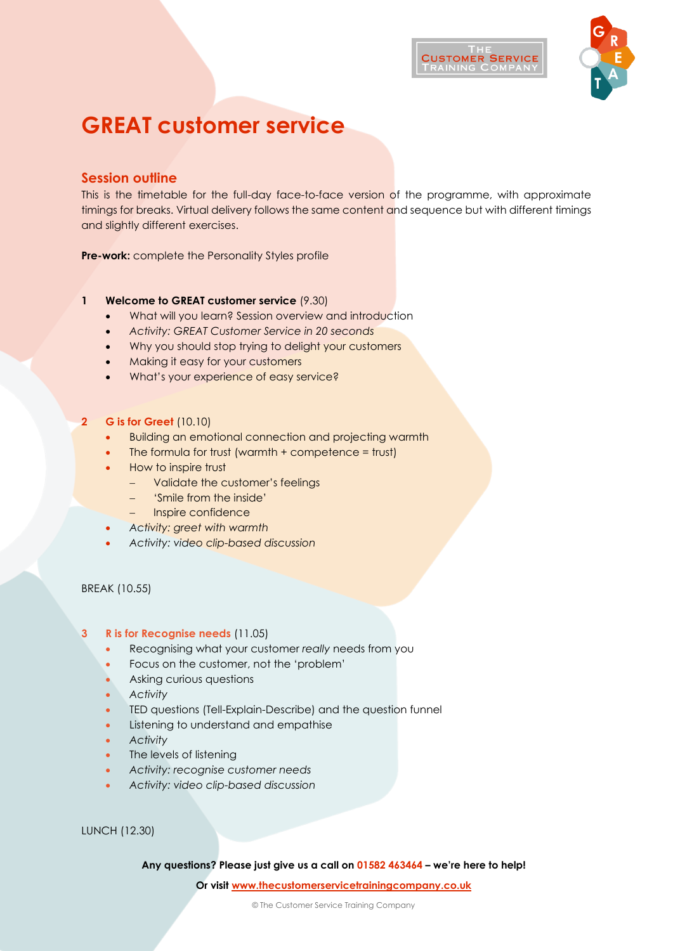

# **GREAT customer service**

# **Session outline**

This is the timetable for the full-day face-to-face version of the programme, with approximate timings for breaks. Virtual delivery follows the same content and sequence but with different timings and slightly different exercises.

**Pre-work:** complete the Personality Styles profile

# **1 Welcome to GREAT customer service** (9.30)

- What will you learn? Session overview and introduction
- *Activity: GREAT Customer Service in 20 seconds*
- Why you should stop trying to delight your customers
- Making it easy for your customers
- What's your experience of easy service?

# **2 G is for Greet** (10.10)

- Building an emotional connection and projecting warmth
- The formula for trust (warmth  $+$  competence = trust)
- How to inspire trust
	- − Validate the customer's feelings
	- − 'Smile from the inside'
	- − Inspire confidence
- *Activity: greet with warmth*
- *Activity: video clip-based discussion*

BREAK (10.55)

# **3 R is for Recognise needs** (11.05)

- Recognising what your customer *really* needs from you
- Focus on the customer, not the 'problem'
- Asking curious questions
- *Activity*
- TED questions (Tell-Explain-Describe) and the question funnel
- Listening to understand and empathise
- *Activity*
- The levels of listening
- *Activity: recognise customer needs*
- *Activity: video clip-based discussion*

LUNCH (12.30)

**Any questions? Please just give us a call on 01582 463464 – we're here to help!**